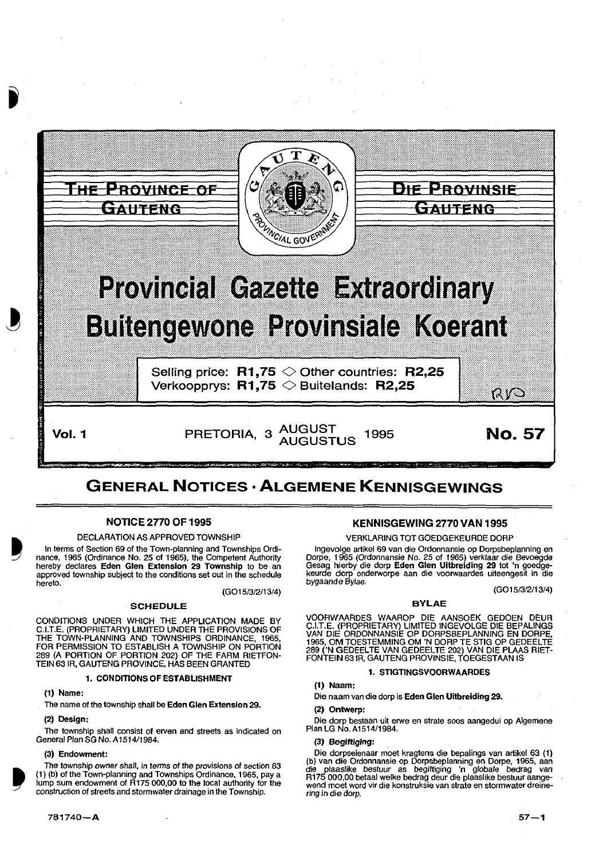

Vol. 1 PRETORIA, 3 AUGUST 1995 **No. 57** 

# GENERAL NOTICES· ALGEMENE KENNISGEWINGS

# NOTICE 2770 OF 1995

### DECLARATION AS APPROVED TOWNSHIP

In terms of Section 69 of the Town-planning and Townships Ordinance, 1965 (Ordinance No. 25 of 1965), the Competent Authority hereby declares Eden Glen Extension 29 Township to be an approved township subject to the conditions set out in the schedule hereto.

(G015/3/2/13/4)

### SCHEDULE

CONDITIONS UNDER WHICH THE APPLICATION MADE BY C.I.T.E. (PROPRIETARY) LIMITED UNDER THE PROVISIONS OF THE TOWN-PLANNING AND TOWNSHIPS ORDINANCE, 1965, FOR PERMISSION TO ESTABLISH A TOWNSHIP ON PORTION 289 (A PORTION OF PORTION 202) OF THE FARM RIETFON-TEIN 63 IR, GAUTENG PROVINCE, HAS BEEN GRANTED

### 1. CONDITIONS OF ESTABLISHMENT

### (1) Name:

The name of the township shall be Eden Glen Extension 29.

### (2) Design:

The township shall consist of erven and streets as indicated on General Plan SG No. A 1514/1984.

### (3) Endowment:

The township owner shall, in terms of the provisions of section 63 (1) (b) of the Town-planning and Townships Ordinance, 1965, pay a lump sum endowment of R175 000,00 to the local authority for the construction of streets and stormwater drainage in the Township.

# KENNISGEWING 2770 VAN 1995

### VERKLARING TOT GOEDGEKEURDE DORP

lngevolge artikel 69 van die Ordonnansie op Dorpsbeplanning en Dorpe, 1965 (Ordonnansie No. 25 of 1965) verkiaar die Bevoegde Gesag hierby die dorp Eden Glen Uitbreiding 29 tot 'n goedgekeurde dorp onderworpe aan die voorwaardes uiteengesit in die bygaande Bylae.

(G015/312/13/4)

### BYLAE

VOORWAARDES WAAROP DIE AANSOEK GEDOEN DEUR C.I.T.E. (PROPRIETARY) LIMITED INGEVOLGE DIE BEPALINGS VAN DIE ORDONNANSIE OP DORPSBEPLANNING EN DORPE, 1965, OM TOESTEMMING OM 'N DORP TE STIG OP GEDEEL TE 289 ('N GEDEELTE VAN GEDEELTE 202) VAN DIE PLAAS RIET-FONTEIN 631R, GAUTENG PROVINSIE, TOEGESTAAN IS

### 1. STIGTINGSVOORWAARDES

# (1) Naam:

- Die naam van die dorp is Eden Glen Uitbreiding 29.
- (2) Ontwerp:

Die dorp bestaan uit erwe en strate soos aangedui op Algemene Plan LG No. A1514/1984.

# (3) Begiftiglng:

Die dorpseienaar moet kragtens die bepallngs van artikel 63 (1) (b) van die Ordonnansie op Dorpsbeplanning en Dorpe, 1965, aan die plaaslike bestuur as begiftiging 'n globale bedrag van R175 000,00 betaal welke bedrag deur die plaaslike bestuur aangewend moet word vir die konstruksie van strate en stormwater dreinering in die dorp.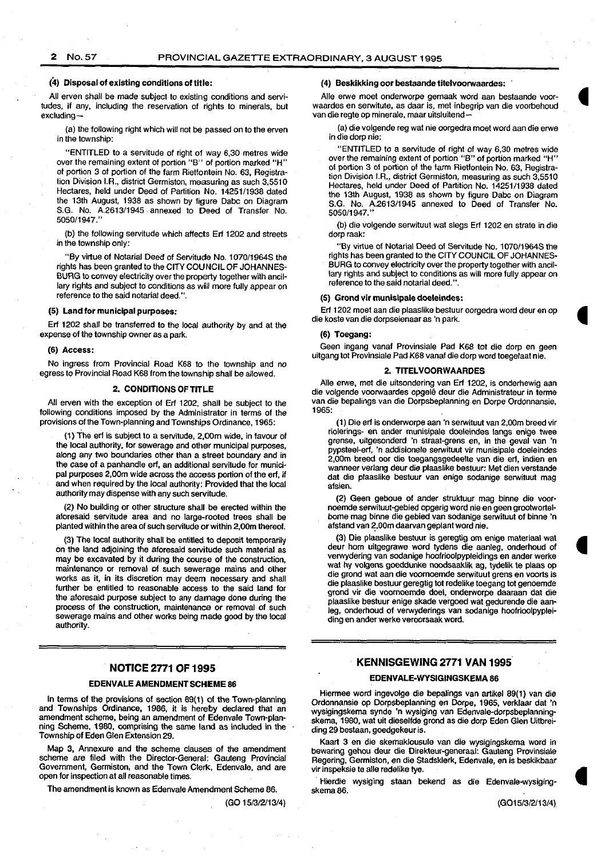# 2 No.57 PROVINCIAL GAZETTE EXTRAORDINARY, 3 AUGUST 1995

#### (4) Disposal of existing conditions of title:

All erven shall be made subject to existing conditions and servitudes, if any, including the reservation of rights to minerals, but excluding-

(a) the following right which will not be passed on to the erven in the township:

"ENTITLED to a servitude of right of way 6,30 metres wide over the remaining extent of portion "B" of portion marked "H" of portion 3 of portion of the farm Rietfontein No. 63, Registration Division I.A., district Germiston, measuring as such 3,5510 Hectares, held under Deed of Partition No. 1425111938 dated the 13th August, 1938 as shown by figure Dabc on Diagram S.G. No. A.2613/1945 annexed to Deed of Transfer No. 5050/1947."

(b) the following servitude which affects Erf 1202 and streets in the township only:

"By virtue of Notarial Deed of Servitude No. 1 070/1964S the rights has been granted to the CITY COUNCIL OF JOHANNES-BURG to convey electricity over the property together with ancillary rights and subject to conditions as will more fully appear on reference to the said notarial deed.".

#### (5) Land for municipal purposes:

Erf 1202 shall be transferred to the local authority by and at the expense of the township owner as a park.

#### (6) Access:

No ingress from Provincial Road K68 to the township and no egress to Provincial Road K68 from the township shall be allowed.

### 2. CONDITIONS OF TITLE

All erven with the exception of Erf 1202, shall be subject to the following conditions imposed by the Administrator in terms of the provisions of the Town-planning and Townships Ordinance, 1965:

(1) The erf is subject to a servitude, 2,00m wide, in favour of the local authority, for sewerage and other municipal purposes, along any two boundaries other than a street boundary and in the case of a panhandle erf, an additional servitude for municipal purposes 2,00m wide across the access portion of the erf, if and when required by the local authority: Provided that the local authority may dispense with any such servitude.

(2) No building or other structure shall be erected within the aforesaid servitude area and no large-rooted trees shall be planted within the area of such servitude or within 2,00m thereof.

(3) The local authority shall be entitled to deposit temporarily on the land adjoining the aforesaid servitude such material as may be excavated by it during the course of the construction, maintenance or removal of such sewerage mains and other works as it, in its discretion may deem necessary and shall further be entitled to reasonable access to the said land for the aforesaid purpose subject to any damage done during the process of the construction, maintenance or removal of such sewerage mains and other works being made good by the local authority.

#### NOTICE 2771 OF 1995

### EDENVALE AMENDMENT SCHEME 86

In terms of the provisions of section 89(1) of the Town-planning and Townships Ordinance, 1986, it is hereby declared that an amendment scheme, being an amendment of Edenvale Town-planning Scheme, 1980, comprising the same land as included in the Township of Eden Glen Extension 29.

Map 3, Annexure and the scheme clauses of the amendment scheme are filed with the Director-General: Gauteng Provincial Government, Germiston, and the Town Clerk, Edenvale, and are open for inspection at all reasonable times.

The amendment is known as Edenvale Amendment Scheme 86.

(GO 1513/2/13/4)

#### (4) Beskikking oor bestaande titelvoorwaardes:

Aile erwe moet onderworpe gemaak word aan bestaande voorwaardes en serwitute, as daar is, met inbegrip van die voorbehoud van die regte op minerale, maar uitsluitend-

(a) die volgende reg wat nie oorgedra moet word aan die erwe in die dorp nie:

"ENTITLED to a servitude of right of way 6,30 metres wide over the remaining extent of portion "B" of portion marked "H" of portion 3 of portion of the farm Rietfontein No. 63, Registration Division I.A., district Germiston, measuring as such 3,5510 Hectares, held under Deed of Partition No. 14251/1938 dated the 13th August, 1938 as shown by figure Dabc on Diagram S.G. No. A.2613/1945 annexed to Deed of Transfer No. 5050/1947.

(b) die volgende serwituut wat slegs Erf 1202 en strate in die dorp raak:

"By virtue of Notarial Deed of Servitude No. 1070/1964S the rights has been granted to the CITY COUNCIL OF JOHANNES-BURG to convey electricity over the property together with ancillary rights and subject to conditions as will more fully appear on reference to the said notarial deed.".

#### (5) Grand vir munisipale doeleindes:

Erf 1202 meet aan die plaaslike bestuur oorgedra word deur en op die koste van die dorpseienaar as 'n park.

### (6) Toegang:

Geen ingang vanaf Provinsiale Pad K68 tot die dorp en geen uitgang tot Provinsiale Pad K68 vanaf die dorp word toegelaat nie.

### 2. TITELVOORWAARDES

Aile erwe, met die uitsondering van Erf 1202, is onderhewig aan die volgende voorwaardes opgele deur die Adminislrateur in terme van die bepalings van die Dorpsbeplanning en Dorpe Ordonnansie, 1965:

(1) Die erf is onderworpe aan 'n serwituut van 2,00m breed vir riolerings- en ander munisipale doeleindes langs enige twee grense, uitgesonderd 'n straat-grens en, in the geval van 'n pypsteel-erf, 'n addisionele serwituut vir munisipale doeleindes 2,00m breed oor die toegangsgedeelte van die erf, indien en wanneer verlang deur die plaaslike bestuur: Mel dian verstande dat die plaaslike bestuur van enige sodanige serwituut mag afsien.

(2) Geen geboue of ander struktuur mag binne die voornoemde serwituut-gebied opgerig word nie en geen grootwortelbome mag binne die gebied van sodanige serwituut of binne 'n afstand van 2,00m daarvan geplant word nie.

(3) Die plaaslike bestuur is geregtig om enige materiaal wat deur hom uitgegrawe word tydens die aanleg, onderhoud of verwydering van sodanige hoofrioolpypleidings en ander werke wat hy volgens goeddunke noodsaaklik ag, tydelik te plaas op die grond wat aan die voornoemde serwituut grens en voorts is die plaaslike bestuur geregtig tot redelike toegang tot genoemde grond vir die voornoemde doel, onderworpe daaraan dat die plaaslike bestuur enige skade vergoed wat gedurende die aanleg, onderhoud of verwyderings van sodanige hoofrioolpypleiding en ander werke veroorsaak word.

# KENNJSGEWING 2771 VAN 1995

### EDENVALE·WYSIGINGSKEMA 86

Hiermee word ingevolge die bepalings van artikel 89(1) van die Ordonnansie op Dorpsbeplanning en Dorpe, 1965, verklaar dat 'n wysigingskema synde 'n wysiging van Edenvale-dorpsbeplanningskema, 1980, wat uit dieselfde grond as die dorp Eden Glen Uitbreiding 29 bestaan, goedgekeur is.

Kaart 3 en die skemaklousule van die wysigingskema word in bewaring gehou deur die Direkteur-generaal: Gauteng Provinsiale Regering, Germislon, en die Stadsklerk, Edenvale, en is beskikbaar vir inspeksie te aile redelike tye.

· Hierdie wysiging staan bekend as die Edenvale-wysigingskema 86.

(G01513/2113/4)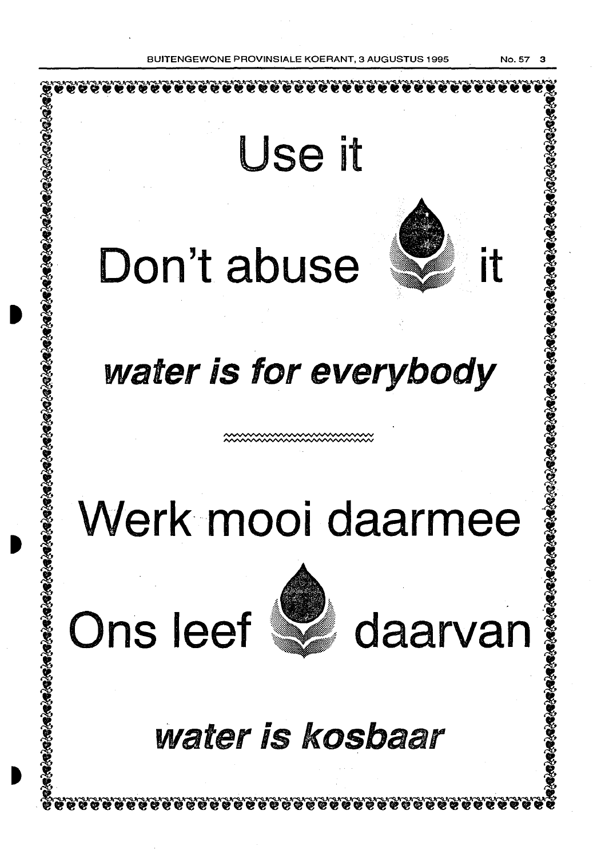BBOVINSIALE KOERANT, 3 AUGUSTUS 1995 . No. 57

 $\blacksquare$ Use it Don't abuse Wi water is for everybody Werk mooi daarmee Ons leef **We** daarvan water is kosbaar